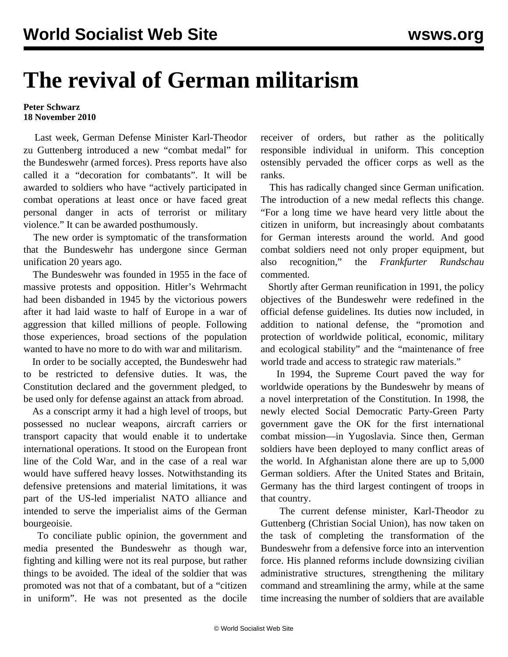## **The revival of German militarism**

## **Peter Schwarz 18 November 2010**

 Last week, German Defense Minister Karl-Theodor zu Guttenberg introduced a new "combat medal" for the Bundeswehr (armed forces). Press reports have also called it a "decoration for combatants". It will be awarded to soldiers who have "actively participated in combat operations at least once or have faced great personal danger in acts of terrorist or military violence." It can be awarded posthumously.

 The new order is symptomatic of the transformation that the Bundeswehr has undergone since German unification 20 years ago.

 The Bundeswehr was founded in 1955 in the face of massive protests and opposition. Hitler's Wehrmacht had been disbanded in 1945 by the victorious powers after it had laid waste to half of Europe in a war of aggression that killed millions of people. Following those experiences, broad sections of the population wanted to have no more to do with war and militarism.

 In order to be socially accepted, the Bundeswehr had to be restricted to defensive duties. It was, the Constitution declared and the government pledged, to be used only for defense against an attack from abroad.

 As a conscript army it had a high level of troops, but possessed no nuclear weapons, aircraft carriers or transport capacity that would enable it to undertake international operations. It stood on the European front line of the Cold War, and in the case of a real war would have suffered heavy losses. Notwithstanding its defensive pretensions and material limitations, it was part of the US-led imperialist NATO alliance and intended to serve the imperialist aims of the German bourgeoisie.

 To conciliate public opinion, the government and media presented the Bundeswehr as though war, fighting and killing were not its real purpose, but rather things to be avoided. The ideal of the soldier that was promoted was not that of a combatant, but of a "citizen in uniform". He was not presented as the docile receiver of orders, but rather as the politically responsible individual in uniform. This conception ostensibly pervaded the officer corps as well as the ranks.

 This has radically changed since German unification. The introduction of a new medal reflects this change. "For a long time we have heard very little about the citizen in uniform, but increasingly about combatants for German interests around the world. And good combat soldiers need not only proper equipment, but also recognition," the *Frankfurter Rundschau* commented.

 Shortly after German reunification in 1991, the policy objectives of the Bundeswehr were redefined in the official defense guidelines. Its duties now included, in addition to national defense, the "promotion and protection of worldwide political, economic, military and ecological stability" and the "maintenance of free world trade and access to strategic raw materials."

 In 1994, the Supreme Court paved the way for worldwide operations by the Bundeswehr by means of a novel interpretation of the Constitution. In 1998, the newly elected Social Democratic Party-Green Party government gave the OK for the first international combat mission—in Yugoslavia. Since then, German soldiers have been deployed to many conflict areas of the world. In Afghanistan alone there are up to 5,000 German soldiers. After the United States and Britain, Germany has the third largest contingent of troops in that country.

 The current defense minister, Karl-Theodor zu Guttenberg (Christian Social Union), has now taken on the task of completing the transformation of the Bundeswehr from a defensive force into an intervention force. His planned reforms include downsizing civilian administrative structures, strengthening the military command and streamlining the army, while at the same time increasing the number of soldiers that are available